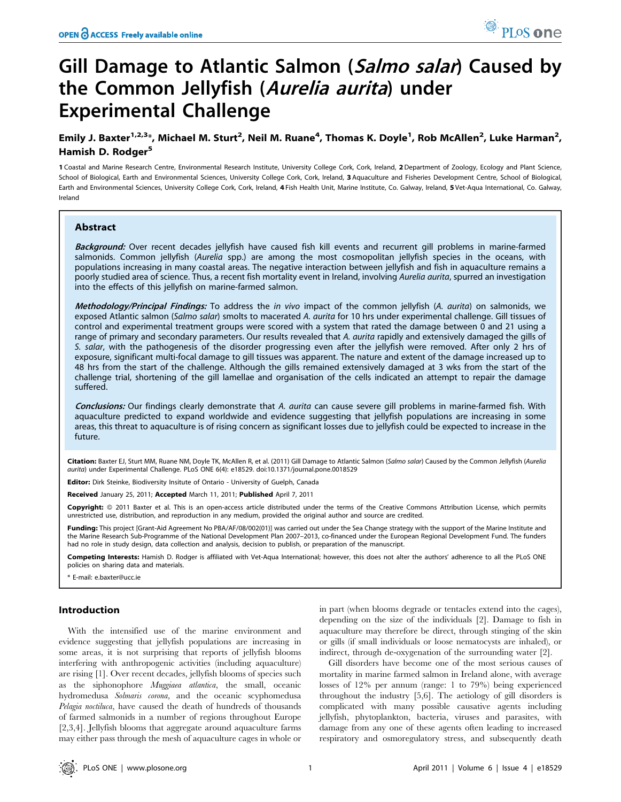# Gill Damage to Atlantic Salmon (Salmo salar) Caused by the Common Jellyfish (Aurelia aurita) under Experimental Challenge

## Emily J. Baxter<sup>1,2,3</sup>\*, Michael M. Sturt<sup>2</sup>, Neil M. Ruane<sup>4</sup>, Thomas K. Doyle<sup>1</sup>, Rob McAllen<sup>2</sup>, Luke Harman<sup>2</sup>, Hamish D. Rodger<sup>5</sup>

1 Coastal and Marine Research Centre, Environmental Research Institute, University College Cork, Cork, Ireland, 2 Department of Zoology, Ecology and Plant Science, School of Biological, Earth and Environmental Sciences, University College Cork, Cork, Ireland, 3 Aquaculture and Fisheries Development Centre, School of Biological, Earth and Environmental Sciences, University College Cork, Cork, Ireland, 4 Fish Health Unit, Marine Institute, Co. Galway, Ireland, 5 Vet-Aqua International, Co. Galway, Ireland

## Abstract

Background: Over recent decades jellyfish have caused fish kill events and recurrent gill problems in marine-farmed salmonids. Common jellyfish (Aurelia spp.) are among the most cosmopolitan jellyfish species in the oceans, with populations increasing in many coastal areas. The negative interaction between jellyfish and fish in aquaculture remains a poorly studied area of science. Thus, a recent fish mortality event in Ireland, involving Aurelia aurita, spurred an investigation into the effects of this jellyfish on marine-farmed salmon.

Methodology/Principal Findings: To address the in vivo impact of the common jellyfish (A. aurita) on salmonids, we exposed Atlantic salmon (Salmo salar) smolts to macerated A. aurita for 10 hrs under experimental challenge. Gill tissues of control and experimental treatment groups were scored with a system that rated the damage between 0 and 21 using a range of primary and secondary parameters. Our results revealed that A. aurita rapidly and extensively damaged the gills of S. salar, with the pathogenesis of the disorder progressing even after the jellyfish were removed. After only 2 hrs of exposure, significant multi-focal damage to gill tissues was apparent. The nature and extent of the damage increased up to 48 hrs from the start of the challenge. Although the gills remained extensively damaged at 3 wks from the start of the challenge trial, shortening of the gill lamellae and organisation of the cells indicated an attempt to repair the damage suffered.

Conclusions: Our findings clearly demonstrate that A. aurita can cause severe gill problems in marine-farmed fish. With aquaculture predicted to expand worldwide and evidence suggesting that jellyfish populations are increasing in some areas, this threat to aquaculture is of rising concern as significant losses due to jellyfish could be expected to increase in the future.

Citation: Baxter EJ, Sturt MM, Ruane NM, Doyle TK, McAllen R, et al. (2011) Gill Damage to Atlantic Salmon (Salmo salar) Caused by the Common Jellyfish (Aurelia aurita) under Experimental Challenge. PLoS ONE 6(4): e18529. doi:10.1371/journal.pone.0018529

Editor: Dirk Steinke, Biodiversity Insitute of Ontario - University of Guelph, Canada

Received January 25, 2011; Accepted March 11, 2011; Published April 7, 2011

Copyright: © 2011 Baxter et al. This is an open-access article distributed under the terms of the Creative Commons Attribution License, which permits unrestricted use, distribution, and reproduction in any medium, provided the original author and source are credited.

Funding: This project [Grant-Aid Agreement No PBA/AF/08/002(01)] was carried out under the Sea Change strategy with the support of the Marine Institute and the Marine Research Sub-Programme of the National Development Plan 2007–2013, co-financed under the European Regional Development Fund. The funders had no role in study design, data collection and analysis, decision to publish, or preparation of the manuscript.

Competing Interests: Hamish D. Rodger is affiliated with Vet-Aqua International; however, this does not alter the authors' adherence to all the PLoS ONE policies on sharing data and materials.

E-mail: e.baxter@ucc.ie

## Introduction

With the intensified use of the marine environment and evidence suggesting that jellyfish populations are increasing in some areas, it is not surprising that reports of jellyfish blooms interfering with anthropogenic activities (including aquaculture) are rising [1]. Over recent decades, jellyfish blooms of species such as the siphonophore Muggiaea atlantica, the small, oceanic hydromedusa Solmaris corona, and the oceanic scyphomedusa Pelagia noctiluca, have caused the death of hundreds of thousands of farmed salmonids in a number of regions throughout Europe [2,3,4]. Jellyfish blooms that aggregate around aquaculture farms may either pass through the mesh of aquaculture cages in whole or in part (when blooms degrade or tentacles extend into the cages), depending on the size of the individuals [2]. Damage to fish in aquaculture may therefore be direct, through stinging of the skin or gills (if small individuals or loose nematocysts are inhaled), or indirect, through de-oxygenation of the surrounding water [2].

Gill disorders have become one of the most serious causes of mortality in marine farmed salmon in Ireland alone, with average losses of 12% per annum (range: 1 to 79%) being experienced throughout the industry [5,6]. The aetiology of gill disorders is complicated with many possible causative agents including jellyfish, phytoplankton, bacteria, viruses and parasites, with damage from any one of these agents often leading to increased respiratory and osmoregulatory stress, and subsequently death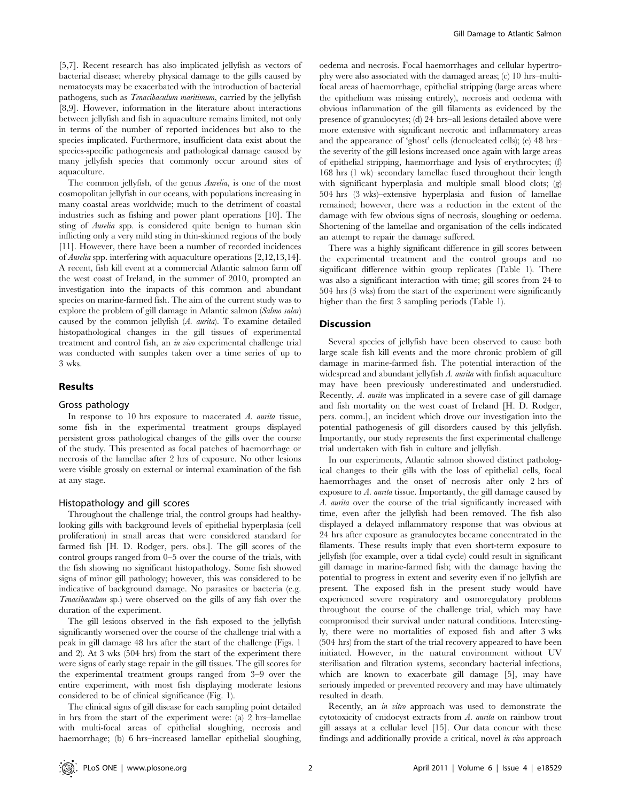[5,7]. Recent research has also implicated jellyfish as vectors of bacterial disease; whereby physical damage to the gills caused by nematocysts may be exacerbated with the introduction of bacterial pathogens, such as Tenacibaculum maritimum, carried by the jellyfish [8,9]. However, information in the literature about interactions between jellyfish and fish in aquaculture remains limited, not only in terms of the number of reported incidences but also to the species implicated. Furthermore, insufficient data exist about the species-specific pathogenesis and pathological damage caused by many jellyfish species that commonly occur around sites of aquaculture.

The common jellyfish, of the genus Aurelia, is one of the most cosmopolitan jellyfish in our oceans, with populations increasing in many coastal areas worldwide; much to the detriment of coastal industries such as fishing and power plant operations [10]. The sting of Aurelia spp. is considered quite benign to human skin inflicting only a very mild sting in thin-skinned regions of the body [11]. However, there have been a number of recorded incidences of Aurelia spp. interfering with aquaculture operations [2,12,13,14]. A recent, fish kill event at a commercial Atlantic salmon farm off the west coast of Ireland, in the summer of 2010, prompted an investigation into the impacts of this common and abundant species on marine-farmed fish. The aim of the current study was to explore the problem of gill damage in Atlantic salmon (Salmo salar) caused by the common jellyfish (A. aurita). To examine detailed histopathological changes in the gill tissues of experimental treatment and control fish, an in vivo experimental challenge trial was conducted with samples taken over a time series of up to 3 wks.

## Results

## Gross pathology

In response to 10 hrs exposure to macerated  $\Lambda$ , *aurita* tissue, some fish in the experimental treatment groups displayed persistent gross pathological changes of the gills over the course of the study. This presented as focal patches of haemorrhage or necrosis of the lamellae after 2 hrs of exposure. No other lesions were visible grossly on external or internal examination of the fish at any stage.

## Histopathology and gill scores

Throughout the challenge trial, the control groups had healthylooking gills with background levels of epithelial hyperplasia (cell proliferation) in small areas that were considered standard for farmed fish [H. D. Rodger, pers. obs.]. The gill scores of the control groups ranged from 0–5 over the course of the trials, with the fish showing no significant histopathology. Some fish showed signs of minor gill pathology; however, this was considered to be indicative of background damage. No parasites or bacteria (e.g. Tenacibaculum sp.) were observed on the gills of any fish over the duration of the experiment.

The gill lesions observed in the fish exposed to the jellyfish significantly worsened over the course of the challenge trial with a peak in gill damage 48 hrs after the start of the challenge (Figs. 1 and 2). At 3 wks (504 hrs) from the start of the experiment there were signs of early stage repair in the gill tissues. The gill scores for the experimental treatment groups ranged from 3–9 over the entire experiment, with most fish displaying moderate lesions considered to be of clinical significance (Fig. 1).

The clinical signs of gill disease for each sampling point detailed in hrs from the start of the experiment were: (a) 2 hrs–lamellae with multi-focal areas of epithelial sloughing, necrosis and haemorrhage; (b) 6 hrs–increased lamellar epithelial sloughing,

oedema and necrosis. Focal haemorrhages and cellular hypertrophy were also associated with the damaged areas; (c) 10 hrs–multifocal areas of haemorrhage, epithelial stripping (large areas where the epithelium was missing entirely), necrosis and oedema with obvious inflammation of the gill filaments as evidenced by the presence of granulocytes; (d) 24 hrs–all lesions detailed above were more extensive with significant necrotic and inflammatory areas and the appearance of 'ghost' cells (denucleated cells); (e) 48 hrs– the severity of the gill lesions increased once again with large areas of epithelial stripping, haemorrhage and lysis of erythrocytes; (f) 168 hrs (1 wk)–secondary lamellae fused throughout their length with significant hyperplasia and multiple small blood clots; (g) 504 hrs (3 wks)–extensive hyperplasia and fusion of lamellae remained; however, there was a reduction in the extent of the damage with few obvious signs of necrosis, sloughing or oedema. Shortening of the lamellae and organisation of the cells indicated an attempt to repair the damage suffered.

There was a highly significant difference in gill scores between the experimental treatment and the control groups and no significant difference within group replicates (Table 1). There was also a significant interaction with time; gill scores from 24 to 504 hrs (3 wks) from the start of the experiment were significantly higher than the first 3 sampling periods (Table 1).

#### **Discussion**

Several species of jellyfish have been observed to cause both large scale fish kill events and the more chronic problem of gill damage in marine-farmed fish. The potential interaction of the widespread and abundant jellyfish A. aurita with finfish aquaculture may have been previously underestimated and understudied. Recently, A. aurita was implicated in a severe case of gill damage and fish mortality on the west coast of Ireland [H. D. Rodger, pers. comm.], an incident which drove our investigation into the potential pathogenesis of gill disorders caused by this jellyfish. Importantly, our study represents the first experimental challenge trial undertaken with fish in culture and jellyfish.

In our experiments, Atlantic salmon showed distinct pathological changes to their gills with the loss of epithelial cells, focal haemorrhages and the onset of necrosis after only 2 hrs of exposure to A. aurita tissue. Importantly, the gill damage caused by A. aurita over the course of the trial significantly increased with time, even after the jellyfish had been removed. The fish also displayed a delayed inflammatory response that was obvious at 24 hrs after exposure as granulocytes became concentrated in the filaments. These results imply that even short-term exposure to jellyfish (for example, over a tidal cycle) could result in significant gill damage in marine-farmed fish; with the damage having the potential to progress in extent and severity even if no jellyfish are present. The exposed fish in the present study would have experienced severe respiratory and osmoregulatory problems throughout the course of the challenge trial, which may have compromised their survival under natural conditions. Interestingly, there were no mortalities of exposed fish and after 3 wks (504 hrs) from the start of the trial recovery appeared to have been initiated. However, in the natural environment without UV sterilisation and filtration systems, secondary bacterial infections, which are known to exacerbate gill damage [5], may have seriously impeded or prevented recovery and may have ultimately resulted in death.

Recently, an in vitro approach was used to demonstrate the cytotoxicity of cnidocyst extracts from A. aurita on rainbow trout gill assays at a cellular level [15]. Our data concur with these findings and additionally provide a critical, novel in vivo approach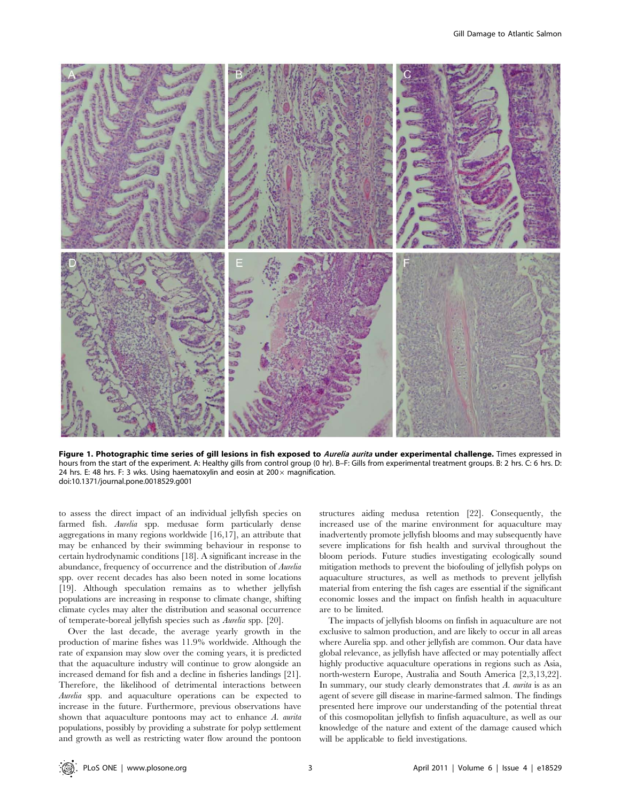

Figure 1. Photographic time series of gill lesions in fish exposed to Aurelia aurita under experimental challenge. Times expressed in hours from the start of the experiment. A: Healthy gills from control group (0 hr). B–F: Gills from experimental treatment groups. B: 2 hrs. C: 6 hrs. D: 24 hrs. E: 48 hrs. F: 3 wks. Using haematoxylin and eosin at  $200 \times$  magnification. doi:10.1371/journal.pone.0018529.g001

to assess the direct impact of an individual jellyfish species on farmed fish. Aurelia spp. medusae form particularly dense aggregations in many regions worldwide [16,17], an attribute that may be enhanced by their swimming behaviour in response to certain hydrodynamic conditions [18]. A significant increase in the abundance, frequency of occurrence and the distribution of Aurelia spp. over recent decades has also been noted in some locations [19]. Although speculation remains as to whether jellyfish populations are increasing in response to climate change, shifting climate cycles may alter the distribution and seasonal occurrence of temperate-boreal jellyfish species such as Aurelia spp. [20].

Over the last decade, the average yearly growth in the production of marine fishes was 11.9% worldwide. Although the rate of expansion may slow over the coming years, it is predicted that the aquaculture industry will continue to grow alongside an increased demand for fish and a decline in fisheries landings [21]. Therefore, the likelihood of detrimental interactions between Aurelia spp. and aquaculture operations can be expected to increase in the future. Furthermore, previous observations have shown that aquaculture pontoons may act to enhance A. aurita populations, possibly by providing a substrate for polyp settlement and growth as well as restricting water flow around the pontoon structures aiding medusa retention [22]. Consequently, the increased use of the marine environment for aquaculture may inadvertently promote jellyfish blooms and may subsequently have severe implications for fish health and survival throughout the bloom periods. Future studies investigating ecologically sound mitigation methods to prevent the biofouling of jellyfish polyps on aquaculture structures, as well as methods to prevent jellyfish material from entering the fish cages are essential if the significant economic losses and the impact on finfish health in aquaculture are to be limited.

The impacts of jellyfish blooms on finfish in aquaculture are not exclusive to salmon production, and are likely to occur in all areas where Aurelia spp. and other jellyfish are common. Our data have global relevance, as jellyfish have affected or may potentially affect highly productive aquaculture operations in regions such as Asia, north-western Europe, Australia and South America [2,3,13,22]. In summary, our study clearly demonstrates that  $A$ . *aurita* is as an agent of severe gill disease in marine-farmed salmon. The findings presented here improve our understanding of the potential threat of this cosmopolitan jellyfish to finfish aquaculture, as well as our knowledge of the nature and extent of the damage caused which will be applicable to field investigations.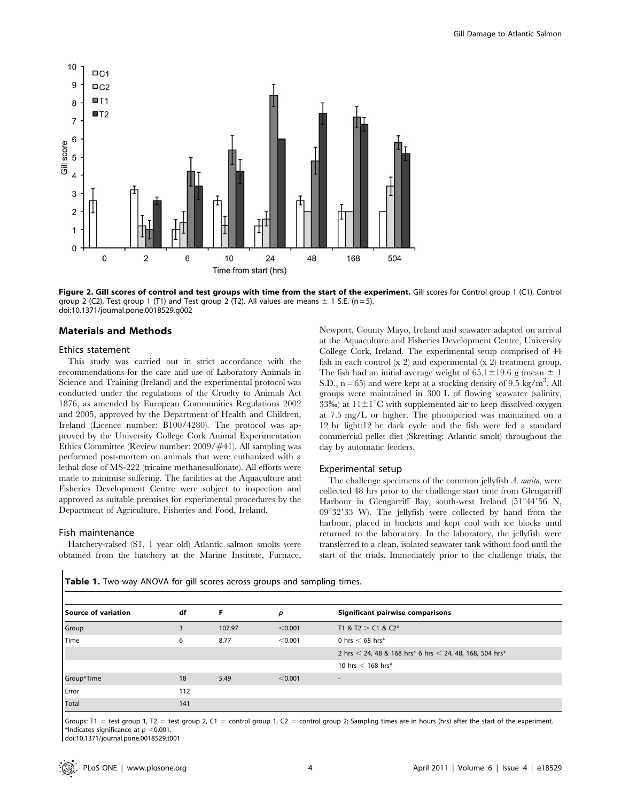

Figure 2. Gill scores of control and test groups with time from the start of the experiment. Gill scores for Control group 1 (C1), Control group 2 (C2), Test group 1 (T1) and Test group 2 (T2). All values are means  $\pm$  1 S.E. (n = 5). doi:10.1371/journal.pone.0018529.g002

## Materials and Methods

## Ethics statement

This study was carried out in strict accordance with the recommendations for the care and use of Laboratory Animals in Science and Training (Ireland) and the experimental protocol was conducted under the regulations of the Cruelty to Animals Act 1876, as amended by European Communities Regulations 2002 and 2005, approved by the Department of Health and Children, Ireland (Licence number: B100/4280). The protocol was approved by the University College Cork Animal Experimentation Ethics Committee (Review number: 2009/#41). All sampling was performed post-mortem on animals that were euthanized with a lethal dose of MS-222 (tricaine methanesulfonate). All efforts were made to minimise suffering. The facilities at the Aquaculture and Fisheries Development Centre were subject to inspection and approved as suitable premises for experimental procedures by the Department of Agriculture, Fisheries and Food, Ireland.

#### Fish maintenance

Hatchery-raised (S1, 1 year old) Atlantic salmon smolts were obtained from the hatchery at the Marine Institute, Furnace, Newport, County Mayo, Ireland and seawater adapted on arrival at the Aquaculture and Fisheries Development Centre, University College Cork, Ireland. The experimental setup comprised of 44 fish in each control (x 2) and experimental (x 2) treatment group. The fish had an initial average weight of  $65.1 \pm 19.6$  g (mean  $\pm 1$ S.D.,  $n = 65$ ) and were kept at a stocking density of 9.5 kg/m<sup>3</sup>. All groups were maintained in 300 L of flowing seawater (salinity, 33‰) at  $11\pm1$ °C with supplemented air to keep dissolved oxygen at 7.5 mg/L or higher. The photoperiod was maintained on a 12 hr light:12 hr dark cycle and the fish were fed a standard commercial pellet diet (Skretting: Atlantic smolt) throughout the day by automatic feeders.

#### Experimental setup

The challenge specimens of the common jellyfish A. aurita, were collected 48 hrs prior to the challenge start time from Glengarriff Harbour in Glengarriff Bay, south-west Ireland  $(51°44'56 N,$  $09^{\circ}32'33$  W). The jellyfish were collected by hand from the harbour, placed in buckets and kept cool with ice blocks until returned to the laboratory. In the laboratory, the jellyfish were transferred to a clean, isolated seawater tank without food until the start of the trials. Immediately prior to the challenge trials, the

| Source of variation | df  | F      | p       | <b>Significant pairwise comparisons</b>                     |
|---------------------|-----|--------|---------|-------------------------------------------------------------|
| Group               |     | 107.97 | < 0.001 | T1 & T2 $>$ C1 & C2*                                        |
| Time                | 6   | 8.77   | < 0.001 | 0 hrs $<$ 68 hrs*                                           |
|                     |     |        |         | 2 hrs $<$ 24, 48 & 168 hrs* 6 hrs $<$ 24, 48, 168, 504 hrs* |
|                     |     |        |         | 10 hrs $<$ 168 hrs*                                         |
| Group*Time          | 18  | 5.49   | < 0.001 | -                                                           |
| Error               | 112 |        |         |                                                             |
| Total               | 141 |        |         |                                                             |

Table 1. Two-way ANOVA for gill scores across groups and sampling times.

Groups: T1 = test group 1, T2 = test group 2, C1 = control group 1, C2 = control group 2; Sampling times are in hours (hrs) after the start of the experiment. \*Indicates significance at  $p < 0.001$ .

doi:10.1371/journal.pone.0018529.t001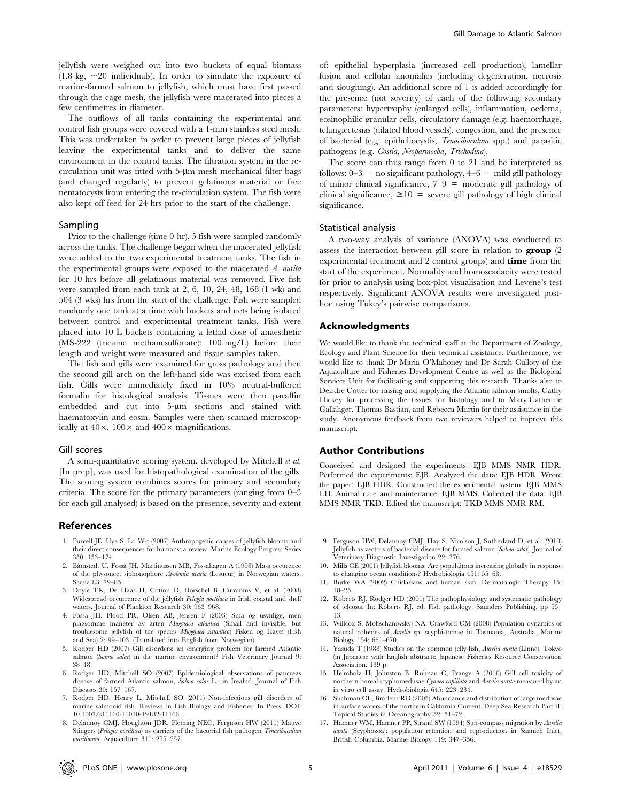jellyfish were weighed out into two buckets of equal biomass  $(1.8 \text{ kg}, \sim 20 \text{ individuals})$ . In order to simulate the exposure of marine-farmed salmon to jellyfish, which must have first passed through the cage mesh, the jellyfish were macerated into pieces a few centimetres in diameter.

The outflows of all tanks containing the experimental and control fish groups were covered with a 1-mm stainless steel mesh. This was undertaken in order to prevent large pieces of jellyfish leaving the experimental tanks and to deliver the same environment in the control tanks. The filtration system in the recirculation unit was fitted with 5-um mesh mechanical filter bags (and changed regularly) to prevent gelatinous material or free nematocysts from entering the re-circulation system. The fish were also kept off feed for 24 hrs prior to the start of the challenge.

#### Sampling

Prior to the challenge (time 0 hr), 5 fish were sampled randomly across the tanks. The challenge began when the macerated jellyfish were added to the two experimental treatment tanks. The fish in the experimental groups were exposed to the macerated A. aurita for 10 hrs before all gelatinous material was removed. Five fish were sampled from each tank at 2, 6, 10, 24, 48, 168 (1 wk) and 504 (3 wks) hrs from the start of the challenge. Fish were sampled randomly one tank at a time with buckets and nets being isolated between control and experimental treatment tanks. Fish were placed into 10 L buckets containing a lethal dose of anaesthetic (MS-222 (tricaine methanesulfonate): 100 mg/L) before their length and weight were measured and tissue samples taken.

The fish and gills were examined for gross pathology and then the second gill arch on the left-hand side was excised from each fish. Gills were immediately fixed in 10% neutral-buffered formalin for histological analysis. Tissues were then paraffin embedded and cut into 5-um sections and stained with haematoxylin and eosin. Samples were then scanned microscopically at  $40\times$ ,  $100\times$  and  $400\times$  magnifications.

#### Gill scores

A semi-quantitative scoring system, developed by Mitchell et al. [In prep], was used for histopathological examination of the gills. The scoring system combines scores for primary and secondary criteria. The score for the primary parameters (ranging from 0–3 for each gill analysed) is based on the presence, severity and extent

#### References

- 1. Purcell JE, Uye S, Lo W-t (2007) Anthropogenic causes of jellyfish blooms and their direct consequences for humans: a review. Marine Ecology Progress Series 350: 153–174.
- 2. Båmstedt U, Fosså JH, Martinussen MB, Fossahagen A (1998) Mass occurence of the physonect siphonophore Apolemia uvaria (Lesueur) in Norwegian waters. Sarsia 83: 79–85.
- 3. Doyle TK, De Haas H, Cotton D, Dorschel B, Cummins V, et al. (2008) Widespread occurrence of the jellyfish Pelagia noctiluca in Irish coastal and shelf waters. Journal of Plankton Research 30: 963–968.
- 4. Fossa˚ JH, Flood PR, Olsen AB, Jensen F (2003) Sma˚ og usynlige, men plagsomme maneter av arten Muggiaea atlantica (Small and invisible, but troublesome jellyfish of the species Muggiaea Atlantica) Fisken og Havet (Fish and Sea) 2: 99–103. (Translated into English from Norwegian).
- 5. Rodger HD (2007) Gill disorders: an emerging problem for farmed Atlantic salmon (Salmo salar) in the marine environment? Fish Veterinary Journal 9: 38–48.
- 6. Rodger HD, Mitchell SO (2007) Epidemiological observations of pancreas disease of farmed Atlantic salmon, Salmo salar L., in Irealnd. Journal of Fish Diseases 30: 157–167.
- 7. Rodger HD, Henry L, Mitchell SO (2011) Non-infectious gill disorders of marine salmonid fish. Reviews in Fish Biology and Fisheries: In Press. DOI: 10.1007/s11160-11010-19182-11166.
- 8. Delannoy CMJ, Houghton JDR, Fleming NEC, Ferguson HW (2011) Mauve Stingers (Pelagia noctiluca) as carriers of the bacterial fish pathogen Tenacibaculum maritimum. Aquaculture 311: 255–257.

of: epithelial hyperplasia (increased cell production), lamellar fusion and cellular anomalies (including degeneration, necrosis and sloughing). An additional score of 1 is added accordingly for the presence (not severity) of each of the following secondary parameters: hypertrophy (enlarged cells), inflammation, oedema, eosinophilic granular cells, circulatory damage (e.g. haemorrhage, telangiectesias (dilated blood vessels), congestion, and the presence of bacterial (e.g. epitheliocystis, Tenacibaculum spp.) and parasitic pathogens (e.g. Costia, Neoparmoeba, Trichodina).

The score can thus range from 0 to 21 and be interpreted as follows:  $0-3 =$  no significant pathology,  $4-6 =$  mild gill pathology of minor clinical significance,  $7-9 =$  moderate gill pathology of clinical significance,  $\geq 10$  = severe gill pathology of high clinical significance.

#### Statistical analysis

A two-way analysis of variance (ANOVA) was conducted to assess the interaction between gill score in relation to group (2 experimental treatment and 2 control groups) and **time** from the start of the experiment. Normality and homoscadacity were tested for prior to analysis using box-plot visualisation and Levene's test respectively. Significant ANOVA results were investigated posthoc using Tukey's pairwise comparisons.

## Acknowledgments

We would like to thank the technical staff at the Department of Zoology, Ecology and Plant Science for their technical assistance. Furthermore, we would like to thank Dr Maria O'Mahoney and Dr Sarah Culloty of the Aquaculture and Fisheries Development Centre as well as the Biological Services Unit for facilitating and supporting this research. Thanks also to Deirdre Cotter for raising and supplying the Atlantic salmon smolts, Cathy Hickey for processing the tissues for histology and to Mary-Catherine Gallahger, Thomas Bastian, and Rebecca Martin for their assistance in the study. Anonymous feedback from two reviewers helped to improve this manuscript.

#### Author Contributions

Conceived and designed the experiments: EJB MMS NMR HDR. Performed the experiments: EJB. Analyzed the data: EJB HDR. Wrote the paper: EJB HDR. Constructed the experimental system: EJB MMS LH. Animal care and maintenance: EJB MMS. Collected the data: EJB MMS NMR TKD. Edited the manuscript: TKD MMS NMR RM.

- 9. Ferguson HW, Delannoy CMJ, Hay S, Nicolson J, Sutherland D, et al. (2010) Jellyfish as vectors of bacterial disease for farmed salmon (Salmo salar). Journal of Veterinary Diagnostic Investigation 22: 376.
- 10. Mills CE (2001) Jellyfish blooms: Are populaitons increasing globally in response to changing ocean conditions? Hydrobiologia 451: 55–68.
- 11. Burke WA (2002) Cnidarians and human skin. Dermatologic Therapy 15: 18–25.
- 12. Roberts RJ, Rodger HD (2001) The pathophysiology and systematic pathology of teleosts. In: Roberts RJ, ed. Fish pathology: Saunders Publishing. pp 55– 13.
- 13. Willcox S, Moltschaniwskyj NA, Crawford CM (2008) Population dynamics of natural colonies of Aurelia sp. scyphistomae in Tasmania, Australia. Marine Biology 154: 661–670.
- 14. Yasuda T (1988) Studies on the common jelly-fish, Aurelia aurita (Linne). Tokyo (in Japanese with English abstract): Japanese Fisheries Resource Conservation Association. 139 p.
- 15. Helmholz H, Johnston B, Ruhnau C, Prange A (2010) Gill cell toxicity of northern boreal scyphomedusae Cyanea capillata and Aurelia aurita measured by an in vitro cell assay. Hydrobiologia 645: 223–234.
- 16. Suchman CL, Brodeur RD (2005) Abundance and distribution of large medusae in surface waters of the northern California Current. Deep Sea Research Part II: Topical Studies in Oceanography 52: 51–72.
- 17. Hamner WM, Hamner PP, Strand SW (1994) Sun-compass migration by Aurelia aurita (Scyphozoa): population retention and reproduction in Saanich Inlet, British Columbia. Marine Biology 119: 347–356.